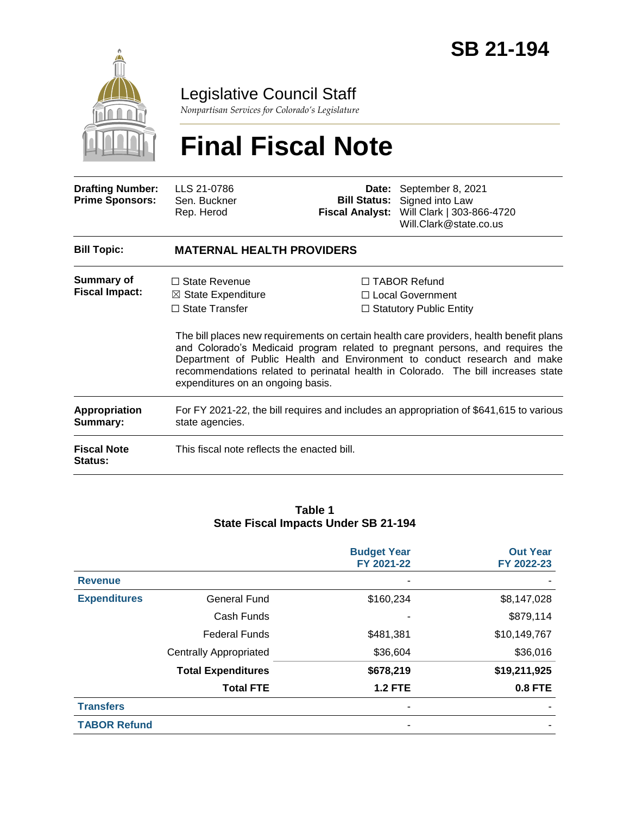

# Legislative Council Staff

*Nonpartisan Services for Colorado's Legislature*

# **Final Fiscal Note**

| <b>Drafting Number:</b><br><b>Prime Sponsors:</b> | LLS 21-0786<br>Sen. Buckner<br>Rep. Herod                                                                           | <b>Bill Status:</b><br><b>Fiscal Analyst:</b> | Date: September 8, 2021<br>Signed into Law<br>Will Clark   303-866-4720<br>Will.Clark@state.co.us                                                                                                                                                                                                                                                                                                                        |  |
|---------------------------------------------------|---------------------------------------------------------------------------------------------------------------------|-----------------------------------------------|--------------------------------------------------------------------------------------------------------------------------------------------------------------------------------------------------------------------------------------------------------------------------------------------------------------------------------------------------------------------------------------------------------------------------|--|
| <b>Bill Topic:</b>                                | <b>MATERNAL HEALTH PROVIDERS</b>                                                                                    |                                               |                                                                                                                                                                                                                                                                                                                                                                                                                          |  |
| Summary of<br><b>Fiscal Impact:</b>               | $\Box$ State Revenue<br>$\boxtimes$ State Expenditure<br>$\Box$ State Transfer<br>expenditures on an ongoing basis. |                                               | $\Box$ TABOR Refund<br>□ Local Government<br>$\Box$ Statutory Public Entity<br>The bill places new requirements on certain health care providers, health benefit plans<br>and Colorado's Medicaid program related to pregnant persons, and requires the<br>Department of Public Health and Environment to conduct research and make<br>recommendations related to perinatal health in Colorado. The bill increases state |  |
| <b>Appropriation</b><br>Summary:                  | For FY 2021-22, the bill requires and includes an appropriation of \$641,615 to various<br>state agencies.          |                                               |                                                                                                                                                                                                                                                                                                                                                                                                                          |  |
| <b>Fiscal Note</b><br><b>Status:</b>              | This fiscal note reflects the enacted bill.                                                                         |                                               |                                                                                                                                                                                                                                                                                                                                                                                                                          |  |

#### **Table 1 State Fiscal Impacts Under SB 21-194**

|                     |                               | <b>Budget Year</b><br>FY 2021-22 | <b>Out Year</b><br>FY 2022-23 |
|---------------------|-------------------------------|----------------------------------|-------------------------------|
| <b>Revenue</b>      |                               |                                  |                               |
| <b>Expenditures</b> | <b>General Fund</b>           | \$160,234                        | \$8,147,028                   |
|                     | Cash Funds                    |                                  | \$879,114                     |
|                     | <b>Federal Funds</b>          | \$481,381                        | \$10,149,767                  |
|                     | <b>Centrally Appropriated</b> | \$36,604                         | \$36,016                      |
|                     | <b>Total Expenditures</b>     | \$678,219                        | \$19,211,925                  |
|                     | <b>Total FTE</b>              | <b>1.2 FTE</b>                   | 0.8 FTE                       |
| <b>Transfers</b>    |                               |                                  |                               |
| <b>TABOR Refund</b> |                               |                                  |                               |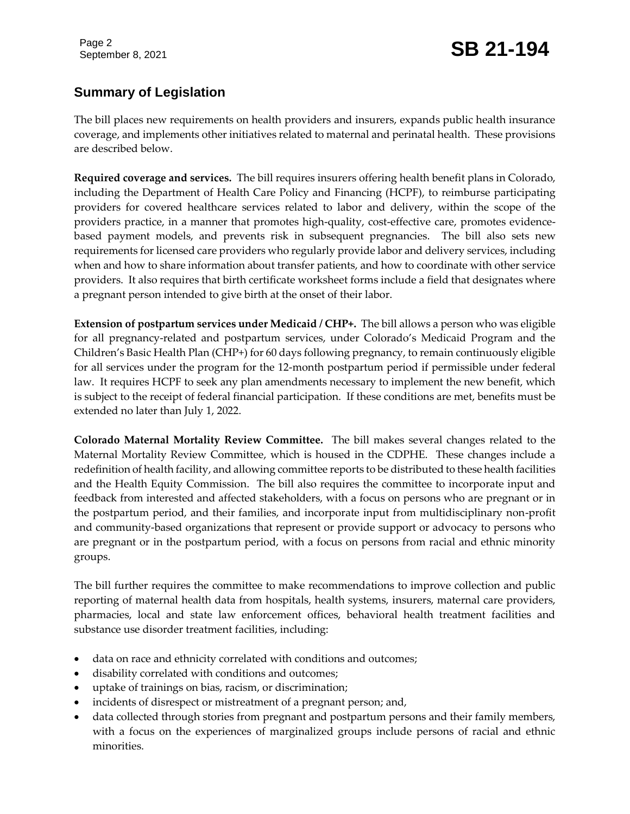# Page 2 **SB 21-194 SB 21-194**

## **Summary of Legislation**

The bill places new requirements on health providers and insurers, expands public health insurance coverage, and implements other initiatives related to maternal and perinatal health. These provisions are described below.

**Required coverage and services.** The bill requires insurers offering health benefit plans in Colorado, including the Department of Health Care Policy and Financing (HCPF), to reimburse participating providers for covered healthcare services related to labor and delivery, within the scope of the providers practice, in a manner that promotes high-quality, cost-effective care, promotes evidencebased payment models, and prevents risk in subsequent pregnancies. The bill also sets new requirements for licensed care providers who regularly provide labor and delivery services, including when and how to share information about transfer patients, and how to coordinate with other service providers. It also requires that birth certificate worksheet forms include a field that designates where a pregnant person intended to give birth at the onset of their labor.

**Extension of postpartum services under Medicaid / CHP+.** The bill allows a person who was eligible for all pregnancy-related and postpartum services, under Colorado's Medicaid Program and the Children's Basic Health Plan (CHP+) for 60 days following pregnancy, to remain continuously eligible for all services under the program for the 12-month postpartum period if permissible under federal law. It requires HCPF to seek any plan amendments necessary to implement the new benefit, which is subject to the receipt of federal financial participation. If these conditions are met, benefits must be extended no later than July 1, 2022.

**Colorado Maternal Mortality Review Committee.** The bill makes several changes related to the Maternal Mortality Review Committee, which is housed in the CDPHE. These changes include a redefinition of health facility, and allowing committee reports to be distributed to these health facilities and the Health Equity Commission. The bill also requires the committee to incorporate input and feedback from interested and affected stakeholders, with a focus on persons who are pregnant or in the postpartum period, and their families, and incorporate input from multidisciplinary non-profit and community-based organizations that represent or provide support or advocacy to persons who are pregnant or in the postpartum period, with a focus on persons from racial and ethnic minority groups.

The bill further requires the committee to make recommendations to improve collection and public reporting of maternal health data from hospitals, health systems, insurers, maternal care providers, pharmacies, local and state law enforcement offices, behavioral health treatment facilities and substance use disorder treatment facilities, including:

- data on race and ethnicity correlated with conditions and outcomes;
- disability correlated with conditions and outcomes;
- uptake of trainings on bias, racism, or discrimination;
- incidents of disrespect or mistreatment of a pregnant person; and,
- data collected through stories from pregnant and postpartum persons and their family members, with a focus on the experiences of marginalized groups include persons of racial and ethnic minorities.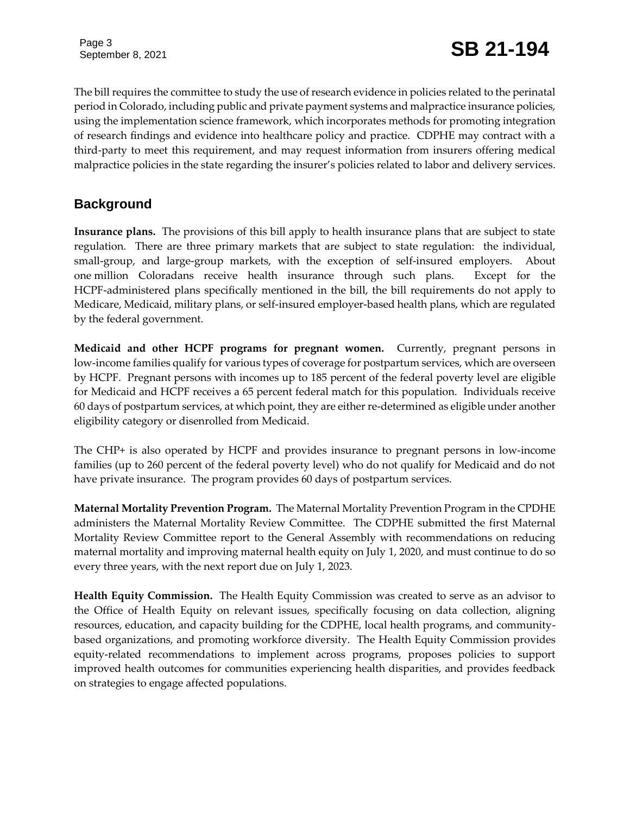The bill requires the committee to study the use of research evidence in policies related to the perinatal period in Colorado, including public and private payment systems and malpractice insurance policies, using the implementation science framework, which incorporates methods for promoting integration of research findings and evidence into healthcare policy and practice. CDPHE may contract with a third-party to meet this requirement, and may request information from insurers offering medical malpractice policies in the state regarding the insurer's policies related to labor and delivery services.

### **Background**

**Insurance plans.** The provisions of this bill apply to health insurance plans that are subject to state regulation. There are three primary markets that are subject to state regulation: the individual, small-group, and large-group markets, with the exception of self-insured employers. About one million Coloradans receive health insurance through such plans. Except for the HCPF-administered plans specifically mentioned in the bill, the bill requirements do not apply to Medicare, Medicaid, military plans, or self-insured employer-based health plans, which are regulated by the federal government.

**Medicaid and other HCPF programs for pregnant women.** Currently, pregnant persons in low-income families qualify for various types of coverage for postpartum services, which are overseen by HCPF. Pregnant persons with incomes up to 185 percent of the federal poverty level are eligible for Medicaid and HCPF receives a 65 percent federal match for this population. Individuals receive 60 days of postpartum services, at which point, they are either re-determined as eligible under another eligibility category or disenrolled from Medicaid.

The CHP+ is also operated by HCPF and provides insurance to pregnant persons in low-income families (up to 260 percent of the federal poverty level) who do not qualify for Medicaid and do not have private insurance. The program provides 60 days of postpartum services.

**Maternal Mortality Prevention Program.** The Maternal Mortality Prevention Program in the CPDHE administers the Maternal Mortality Review Committee. The CDPHE submitted the first Maternal Mortality Review Committee report to the General Assembly with recommendations on reducing maternal mortality and improving maternal health equity on July 1, 2020, and must continue to do so every three years, with the next report due on July 1, 2023.

**Health Equity Commission.** The Health Equity Commission was created to serve as an advisor to the Office of Health Equity on relevant issues, specifically focusing on data collection, aligning resources, education, and capacity building for the CDPHE, local health programs, and communitybased organizations, and promoting workforce diversity. The Health Equity Commission provides equity-related recommendations to implement across programs, proposes policies to support improved health outcomes for communities experiencing health disparities, and provides feedback on strategies to engage affected populations.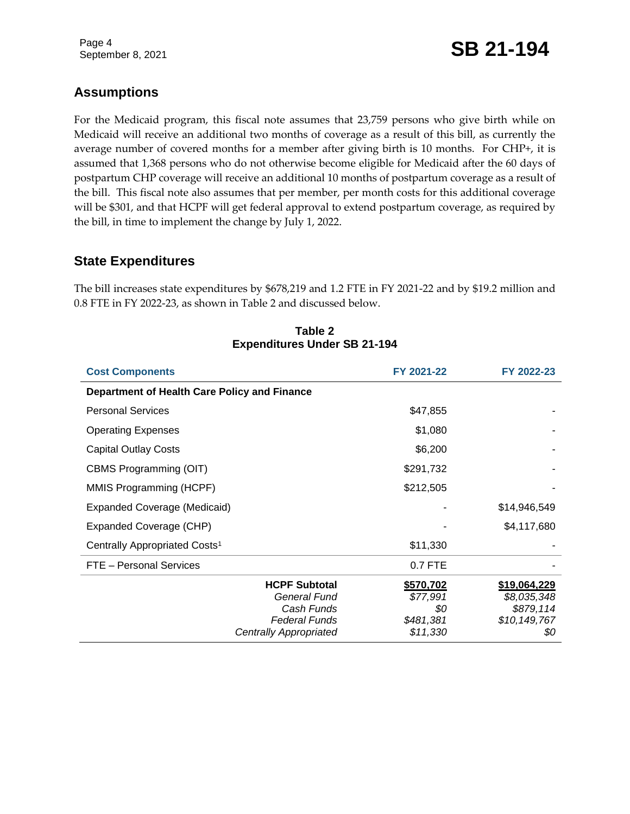# September 8, 2021 **SB 21-194**

### **Assumptions**

For the Medicaid program, this fiscal note assumes that 23,759 persons who give birth while on Medicaid will receive an additional two months of coverage as a result of this bill, as currently the average number of covered months for a member after giving birth is 10 months. For CHP+, it is assumed that 1,368 persons who do not otherwise become eligible for Medicaid after the 60 days of postpartum CHP coverage will receive an additional 10 months of postpartum coverage as a result of the bill. This fiscal note also assumes that per member, per month costs for this additional coverage will be \$301, and that HCPF will get federal approval to extend postpartum coverage, as required by the bill, in time to implement the change by July 1, 2022.

#### **State Expenditures**

The bill increases state expenditures by \$678,219 and 1.2 FTE in FY 2021-22 and by \$19.2 million and 0.8 FTE in FY 2022-23, as shown in Table 2 and discussed below.

| <b>Cost Components</b>                                                                                      | FY 2021-22                                            | FY 2022-23                                                      |
|-------------------------------------------------------------------------------------------------------------|-------------------------------------------------------|-----------------------------------------------------------------|
| Department of Health Care Policy and Finance                                                                |                                                       |                                                                 |
| <b>Personal Services</b>                                                                                    | \$47,855                                              |                                                                 |
| <b>Operating Expenses</b>                                                                                   | \$1,080                                               |                                                                 |
| <b>Capital Outlay Costs</b>                                                                                 | \$6,200                                               |                                                                 |
| CBMS Programming (OIT)                                                                                      | \$291,732                                             |                                                                 |
| MMIS Programming (HCPF)                                                                                     | \$212,505                                             |                                                                 |
| Expanded Coverage (Medicaid)                                                                                |                                                       | \$14,946,549                                                    |
| Expanded Coverage (CHP)                                                                                     |                                                       | \$4,117,680                                                     |
| Centrally Appropriated Costs <sup>1</sup>                                                                   | \$11,330                                              |                                                                 |
| FTE - Personal Services                                                                                     | 0.7 FTE                                               |                                                                 |
| <b>HCPF Subtotal</b><br>General Fund<br>Cash Funds<br><b>Federal Funds</b><br><b>Centrally Appropriated</b> | \$570,702<br>\$77,991<br>\$0<br>\$481,381<br>\$11,330 | \$19,064,229<br>\$8,035,348<br>\$879,114<br>\$10,149,767<br>\$0 |

#### **Table 2 Expenditures Under SB 21-194**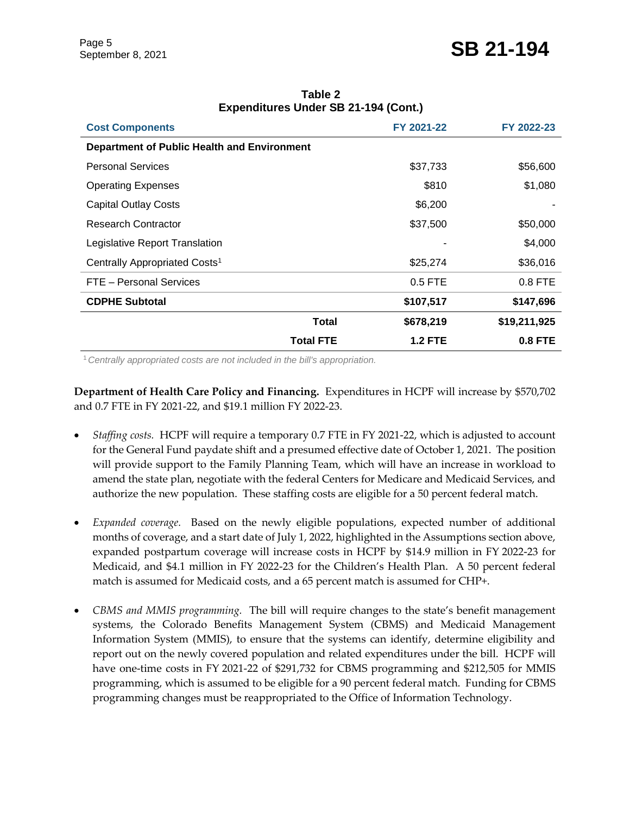| <b>Cost Components</b>                      | FY 2021-22     | FY 2022-23   |
|---------------------------------------------|----------------|--------------|
| Department of Public Health and Environment |                |              |
| <b>Personal Services</b>                    | \$37,733       | \$56,600     |
| <b>Operating Expenses</b>                   | \$810          | \$1,080      |
| <b>Capital Outlay Costs</b>                 | \$6,200        |              |
| Research Contractor                         | \$37,500       | \$50,000     |
| Legislative Report Translation              |                | \$4,000      |
| Centrally Appropriated Costs <sup>1</sup>   | \$25,274       | \$36,016     |
| FTE - Personal Services                     | $0.5$ FTE      | $0.8$ FTE    |
| <b>CDPHE Subtotal</b>                       | \$107,517      | \$147,696    |
| Total                                       | \$678,219      | \$19,211,925 |
| <b>Total FTE</b>                            | <b>1.2 FTE</b> | $0.8$ FTE    |

#### **Table 2 Expenditures Under SB 21-194 (Cont.)**

<sup>1</sup>*Centrally appropriated costs are not included in the bill's appropriation.*

**Department of Health Care Policy and Financing.** Expenditures in HCPF will increase by \$570,702 and 0.7 FTE in FY 2021-22, and \$19.1 million FY 2022-23.

- *Staffing costs.* HCPF will require a temporary 0.7 FTE in FY 2021-22, which is adjusted to account for the General Fund paydate shift and a presumed effective date of October 1, 2021. The position will provide support to the Family Planning Team, which will have an increase in workload to amend the state plan, negotiate with the federal Centers for Medicare and Medicaid Services, and authorize the new population. These staffing costs are eligible for a 50 percent federal match.
- *Expanded coverage.* Based on the newly eligible populations, expected number of additional months of coverage, and a start date of July 1, 2022, highlighted in the Assumptions section above, expanded postpartum coverage will increase costs in HCPF by \$14.9 million in FY 2022-23 for Medicaid, and \$4.1 million in FY 2022-23 for the Children's Health Plan. A 50 percent federal match is assumed for Medicaid costs, and a 65 percent match is assumed for CHP+.
- *CBMS and MMIS programming.* The bill will require changes to the state's benefit management systems, the Colorado Benefits Management System (CBMS) and Medicaid Management Information System (MMIS), to ensure that the systems can identify, determine eligibility and report out on the newly covered population and related expenditures under the bill. HCPF will have one-time costs in FY 2021-22 of \$291,732 for CBMS programming and \$212,505 for MMIS programming, which is assumed to be eligible for a 90 percent federal match. Funding for CBMS programming changes must be reappropriated to the Office of Information Technology.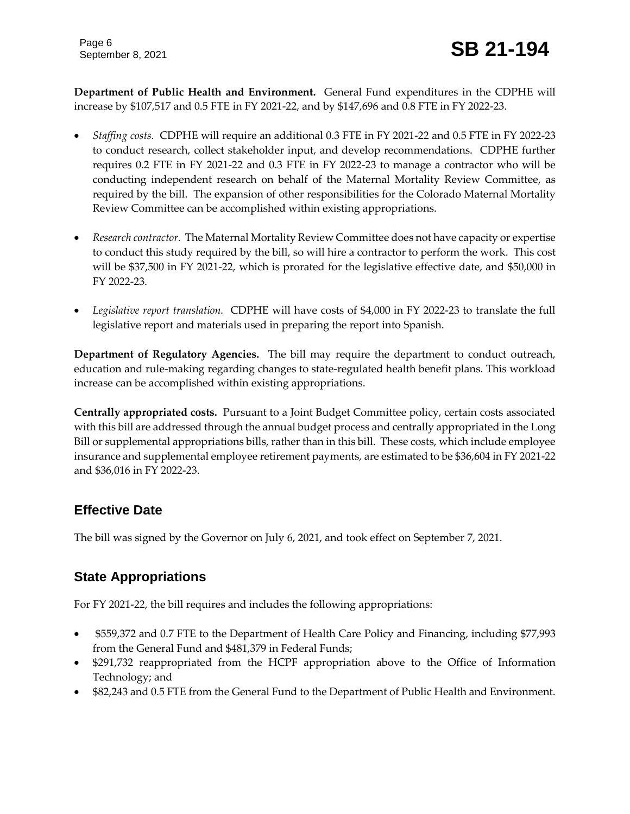**Department of Public Health and Environment.** General Fund expenditures in the CDPHE will increase by \$107,517 and 0.5 FTE in FY 2021-22, and by \$147,696 and 0.8 FTE in FY 2022-23.

- *Staffing costs.* CDPHE will require an additional 0.3 FTE in FY 2021-22 and 0.5 FTE in FY 2022-23 to conduct research, collect stakeholder input, and develop recommendations. CDPHE further requires 0.2 FTE in FY 2021-22 and 0.3 FTE in FY 2022-23 to manage a contractor who will be conducting independent research on behalf of the Maternal Mortality Review Committee, as required by the bill. The expansion of other responsibilities for the Colorado Maternal Mortality Review Committee can be accomplished within existing appropriations.
- *Research contractor.* The Maternal Mortality Review Committee does not have capacity or expertise to conduct this study required by the bill, so will hire a contractor to perform the work. This cost will be \$37,500 in FY 2021-22, which is prorated for the legislative effective date, and \$50,000 in FY 2022-23.
- *Legislative report translation.* CDPHE will have costs of \$4,000 in FY 2022-23 to translate the full legislative report and materials used in preparing the report into Spanish.

**Department of Regulatory Agencies.** The bill may require the department to conduct outreach, education and rule-making regarding changes to state-regulated health benefit plans. This workload increase can be accomplished within existing appropriations.

**Centrally appropriated costs.** Pursuant to a Joint Budget Committee policy, certain costs associated with this bill are addressed through the annual budget process and centrally appropriated in the Long Bill or supplemental appropriations bills, rather than in this bill. These costs, which include employee insurance and supplemental employee retirement payments, are estimated to be \$36,604 in FY 2021-22 and \$36,016 in FY 2022-23.

### **Effective Date**

The bill was signed by the Governor on July 6, 2021, and took effect on September 7, 2021.

# **State Appropriations**

For FY 2021-22, the bill requires and includes the following appropriations:

- \$559,372 and 0.7 FTE to the Department of Health Care Policy and Financing, including \$77,993 from the General Fund and \$481,379 in Federal Funds;
- \$291,732 reappropriated from the HCPF appropriation above to the Office of Information Technology; and
- \$82,243 and 0.5 FTE from the General Fund to the Department of Public Health and Environment.